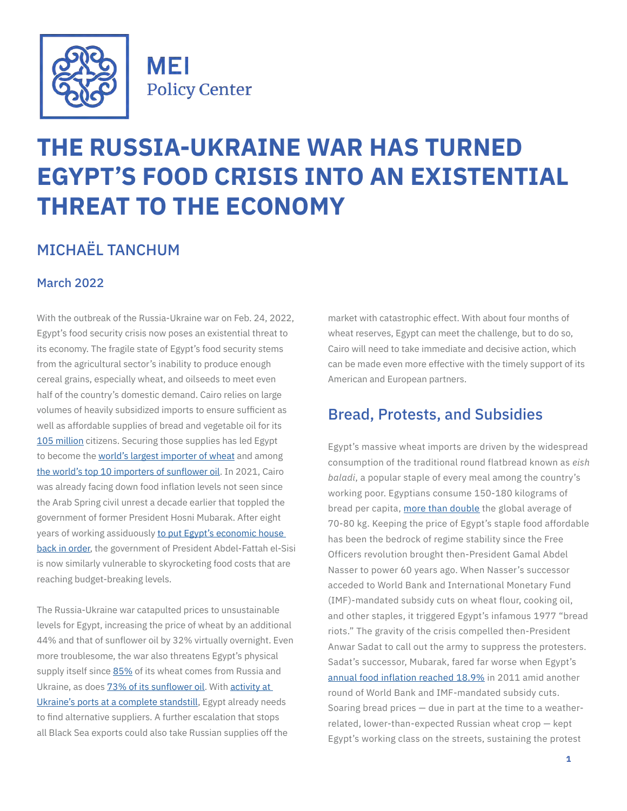

**MEI Policy Center** 

# **THE RUSSIA-UKRAINE WAR HAS TURNED EGYPT'S FOOD CRISIS INTO AN EXISTENTIAL THREAT TO THE ECONOMY**

# MICHAËL TANCHUM

#### March 2022

With the outbreak of the Russia-Ukraine war on Feb. 24, 2022, Egypt's food security crisis now poses an existential threat to its economy. The fragile state of Egypt's food security stems from the agricultural sector's inability to produce enough cereal grains, especially wheat, and oilseeds to meet even half of the country's domestic demand. Cairo relies on large volumes of heavily subsidized imports to ensure sufficient as well as affordable supplies of bread and vegetable oil for its [105 million](https://www.worldometers.info/world-population/egypt-population/#:~:text=The current population of Egypt,the latest United Nations data.) citizens. Securing those supplies has led Egypt to become the [world's largest importer of wheat](https://www.indexmundi.com/agriculture/?commodity=wheat&graph=imports) and among [the world's top 10 importers of sunflower oil.](https://www.indexmundi.com/agriculture/?commodity=sunflowerseed-oil&graph=imports) In 2021, Cairo was already facing down food inflation levels not seen since the Arab Spring civil unrest a decade earlier that toppled the government of former President Hosni Mubarak. After eight years of working assiduously [to put Egypt's economic house](https://enterprise.press/issues/2019/09/19/egypt-africas-top-investment-destination-third-year-row/)  [back in order,](https://enterprise.press/issues/2019/09/19/egypt-africas-top-investment-destination-third-year-row/) the government of President Abdel-Fattah el-Sisi is now similarly vulnerable to skyrocketing food costs that are reaching budget-breaking levels.

The Russia-Ukraine war catapulted prices to unsustainable levels for Egypt, increasing the price of wheat by an additional 44% and that of sunflower oil by 32% virtually overnight. Even more troublesome, the war also threatens Egypt's physical supply itself since [85%](https://www.apk-inform.com/en/news/1521865) of its wheat comes from Russia and Ukraine, as does **73% of its sunflower oil**. With activity at [Ukraine's ports at a complete standstill](https://www.bloomberg.com/news/articles/2022-03-01/wheat-rally-pauses-after-biggest-daily-jump-in-over-a-decade?utm_campaign=socialflow-organic&utm_source=twitter&utm_content=africa&cmpid%3D=socialflow-twitter-africa&utm_medium=social), Egypt already needs to find alternative suppliers. A further escalation that stops all Black Sea exports could also take Russian supplies off the

market with catastrophic effect. With about four months of wheat reserves, Egypt can meet the challenge, but to do so, Cairo will need to take immediate and decisive action, which can be made even more effective with the timely support of its American and European partners.

#### Bread, Protests, and Subsidies

Egypt's massive wheat imports are driven by the widespread consumption of the traditional round flatbread known as *eish baladi*, a popular staple of every meal among the country's working poor. Egyptians consume 150-180 kilograms of bread per capita, [more than double](https://www.thenationalnews.com/mena/2021/08/13/why-ending-bread-subsidies-feels-like-an-existential-threat-to-egyptians/) the global average of 70-80 kg. Keeping the price of Egypt's staple food affordable has been the bedrock of regime stability since the Free Officers revolution brought then-President Gamal Abdel Nasser to power 60 years ago. When Nasser's successor acceded to World Bank and International Monetary Fund (IMF)-mandated subsidy cuts on wheat flour, cooking oil, and other staples, it triggered Egypt's infamous 1977 "bread riots." The gravity of the crisis compelled then-President Anwar Sadat to call out the army to suppress the protesters. Sadat's successor, Mubarak, fared far worse when Egypt's [annual food inflation reached 18.9%](https://www.theguardian.com/lifeandstyle/2011/jul/17/bread-food-arab-spring) in 2011 amid another round of World Bank and IMF-mandated subsidy cuts. Soaring bread prices — due in part at the time to a weatherrelated, lower-than-expected Russian wheat crop — kept Egypt's working class on the streets, sustaining the protest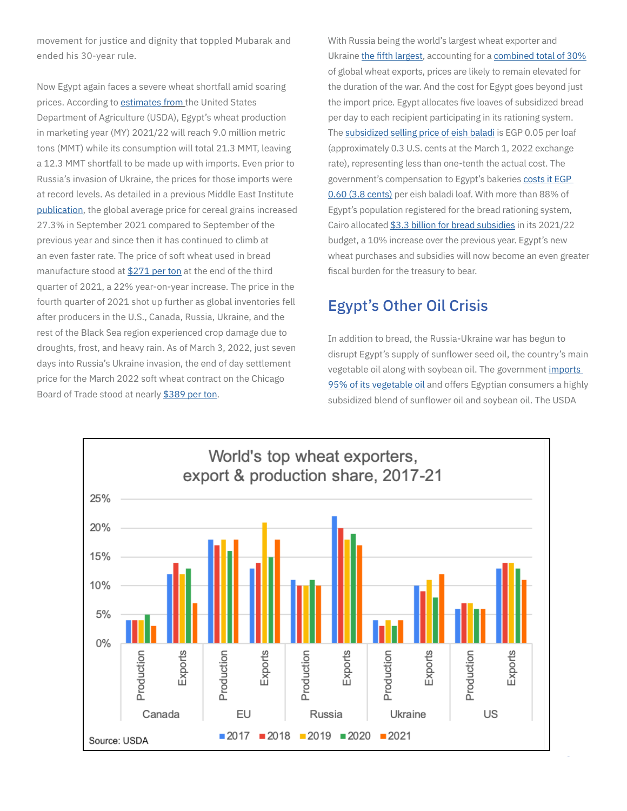movement for justice and dignity that toppled Mubarak and ended his 30-year rule.

Now Egypt again faces a severe wheat shortfall amid soaring prices. According to *[estimate](https://apps.fas.usda.gov/newgainapi/api/Report/DownloadReportByFileName?fileName=Grain+and+Feed+Annual_Cairo_Egypt_03-15-2021.pdf)s from* the United States Department of Agriculture (USDA), Egypt's wheat production in marketing year (MY) 2021/22 will reach 9.0 million metric tons (MMT) while its consumption will total 21.3 MMT, leaving a 12.3 MMT shortfall to be made up with imports. Even prior to Russia's invasion of Ukraine, the prices for those imports were at record levels. As detailed in a previous Middle East Institute [publication](https://www.mei.edu/publications/fragile-state-food-security-maghreb-implication-2021-cereal-grains-crisis-tunisia), the global average price for cereal grains increased 27.3% in September 2021 compared to September of the previous year and since then it has continued to climb at an even faster rate. The price of soft wheat used in bread manufacture stood at [\\$271 per ton](https://www.medias24.com/2021/10/29/surchauffe-previsible-de-la-charge-de-compensation-des-produits-alimentaires/) at the end of the third quarter of 2021, a 22% year-on-year increase. The price in the fourth quarter of 2021 shot up further as global inventories fell after producers in the U.S., Canada, Russia, Ukraine, and the rest of the Black Sea region experienced crop damage due to droughts, frost, and heavy rain. As of March 3, 2022, just seven days into Russia's Ukraine invasion, the end of day settlement price for the March 2022 soft wheat contract on the Chicago Board of Trade stood at nearly [\\$389 per ton](https://www.indexmundi.com/commodities/?commodity=soft-red-winter-wheat&months=60).

With Russia being the world's largest wheat exporter and Ukraine [the fifth largest](https://www.worldstopexports.com/wheat-exports-country/), accounting for a [combined total of 30%](https://farmdocdaily.illinois.edu/2022/02/revisiting-ukraine-russia-and-agricultural-commodity-markets.html#:~:text=Russia and Ukraine account for,producers and exporters of wheat.) of global wheat exports, prices are likely to remain elevated for the duration of the war. And the cost for Egypt goes beyond just the import price. Egypt allocates five loaves of subsidized bread per day to each recipient participating in its rationing system. The [subsidized selling price of eish baladi](https://apps.fas.usda.gov/newgainapi/api/Report/DownloadReportByFileName?fileName=Grain+and+Feed+Annual_Cairo_Egypt_03-15-2021.pdf) is EGP 0.05 per loaf (approximately 0.3 U.S. cents at the March 1, 2022 exchange rate), representing less than one-tenth the actual cost. The government's compensation to Egypt's bakeries [costs it EGP](https://apps.fas.usda.gov/newgainapi/api/Report/DownloadReportByFileName?fileName=Grain+and+Feed+Annual_Cairo_Egypt_03-15-2021.pdf)  [0.60 \(3.8 cents\)](https://apps.fas.usda.gov/newgainapi/api/Report/DownloadReportByFileName?fileName=Grain+and+Feed+Annual_Cairo_Egypt_03-15-2021.pdf) per eish baladi loaf. With more than 88% of Egypt's population registered for the bread rationing system, Cairo allocated [\\$3.3 billion for bread subsidies](https://www.middleeasteye.net/news/egypt-millions-vulnerable-rise-global-wheat-prices-climate-change) in its 2021/22 budget, a 10% increase over the previous year. Egypt's new wheat purchases and subsidies will now become an even greater fiscal burden for the treasury to bear.

### Egypt's Other Oil Crisis

In addition to bread, the Russia-Ukraine war has begun to disrupt Egypt's supply of sunflower seed oil, the country's main vegetable oil along with soybean oil. The government [imports](https://www.reuters.com/article/egypt-vegoils-idUSL5N2NH03J)  [95% of its vegetable oil](https://www.reuters.com/article/egypt-vegoils-idUSL5N2NH03J) and offers Egyptian consumers a highly subsidized blend of sunflower oil and soybean oil. The USDA

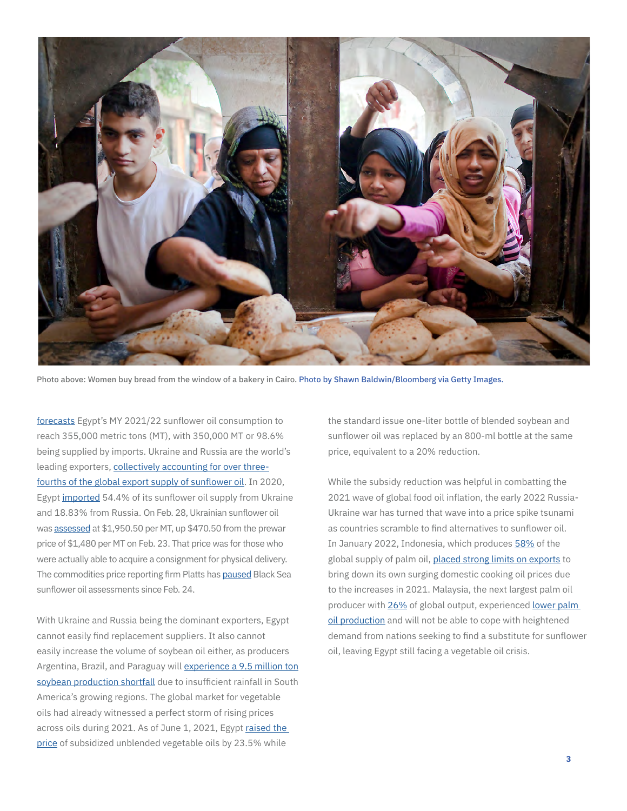

Photo above: Women buy bread from the window of a bakery in Cairo. Photo by Shawn Baldwin/Bloomberg via Getty Images.

[forecasts](https://apps.fas.usda.gov/newgainapi/api/Report/DownloadReportByFileName?fileName=Oilseeds and Products Annual_Cairo_Egypt_04-01-2021.pdf) Egypt's MY 2021/22 sunflower oil consumption to reach 355,000 metric tons (MT), with 350,000 MT or 98.6% being supplied by imports. Ukraine and Russia are the world's leading exporters, [collectively accounting for over three](https://www.statista.com/statistics/620317/sunflowerseed-oil-export-volume-worldwide-by-country/#:~:text=In 2020%2F21%2C Ukraine was,about 5.27 million metric tons.)[fourths of the global export supply of sunflower oil.](https://www.statista.com/statistics/620317/sunflowerseed-oil-export-volume-worldwide-by-country/#:~:text=In 2020%2F21%2C Ukraine was,about 5.27 million metric tons.) In 2020, Egypt [imported](https://www.al-monitor.com/originals/2022/02/iran-iraq-egypt-rely-ukraine-sunflower-oil) 54.4% of its sunflower oil supply from Ukraine and 18.83% from Russia. On Feb. 28, Ukrainian sunflower oil was [assessed](https://www.spglobal.com/commodity-insights/en/market-insights/videos/market-movers-asia/022822-russia-swift-sanctions-ukraine-oil-lng-india-south-korea-nickel-aluminum-steel-australia-wheat-sunflower-oil-shipping) at \$1,950.50 per MT, up \$470.50 from the prewar price of \$1,480 per MT on Feb. 23. That price was for those who were actually able to acquire a consignment for physical delivery. The commodities price reporting firm Platts has [paused](https://www.spglobal.com/commodity-insights/en/market-insights/videos/market-movers-asia/022822-russia-swift-sanctions-ukraine-oil-lng-india-south-korea-nickel-aluminum-steel-australia-wheat-sunflower-oil-shipping) Black Sea sunflower oil assessments since Feb. 24.

With Ukraine and Russia being the dominant exporters, Egypt cannot easily find replacement suppliers. It also cannot easily increase the volume of soybean oil either, as producers Argentina, Brazil, and Paraguay will [experience a 9.5 million ton](https://www.usda.gov/oce/commodity/wasde/wasde0122.pdf)  [soybean production shortfall](https://www.usda.gov/oce/commodity/wasde/wasde0122.pdf) due to insufficient rainfall in South America's growing regions. The global market for vegetable oils had already witnessed a perfect storm of rising prices across oils during 2021. As of June 1, 2021, Egypt [raised the](https://www.reuters.com/article/egypt-vegoils-idUSL5N2NH03J)  [price](https://www.reuters.com/article/egypt-vegoils-idUSL5N2NH03J) of subsidized unblended vegetable oils by 23.5% while

the standard issue one-liter bottle of blended soybean and sunflower oil was replaced by an 800-ml bottle at the same price, equivalent to a 20% reduction.

While the subsidy reduction was helpful in combatting the 2021 wave of global food oil inflation, the early 2022 Russia-Ukraine war has turned that wave into a price spike tsunami as countries scramble to find alternatives to sunflower oil. In January 2022, Indonesia, which produces [58%](https://www.forbes.com/sites/niallmccarthy/2020/10/02/which-countries-produce-the-most-palm-oil-infographic/?sh=2e27b0841e42) of the global supply of palm oil, [placed strong limits on exports](https://www.spglobal.com/commodity-insights/en/market-insights/latest-news/agriculture/020922-indonesia-expands-domestic-market-obligations-to-cover-all-palm-oil-exports) to bring down its own surging domestic cooking oil prices due to the increases in 2021. Malaysia, the next largest palm oil producer with [26%](https://www.forbes.com/sites/niallmccarthy/2020/10/02/which-countries-produce-the-most-palm-oil-infographic/?sh=2e27b0841e42) of global output, experienced [lower palm](https://www.usda.gov/oce/commodity/wasde/wasde0122.pdf)  [oil production](https://www.usda.gov/oce/commodity/wasde/wasde0122.pdf) and will not be able to cope with heightened demand from nations seeking to find a substitute for sunflower oil, leaving Egypt still facing a vegetable oil crisis.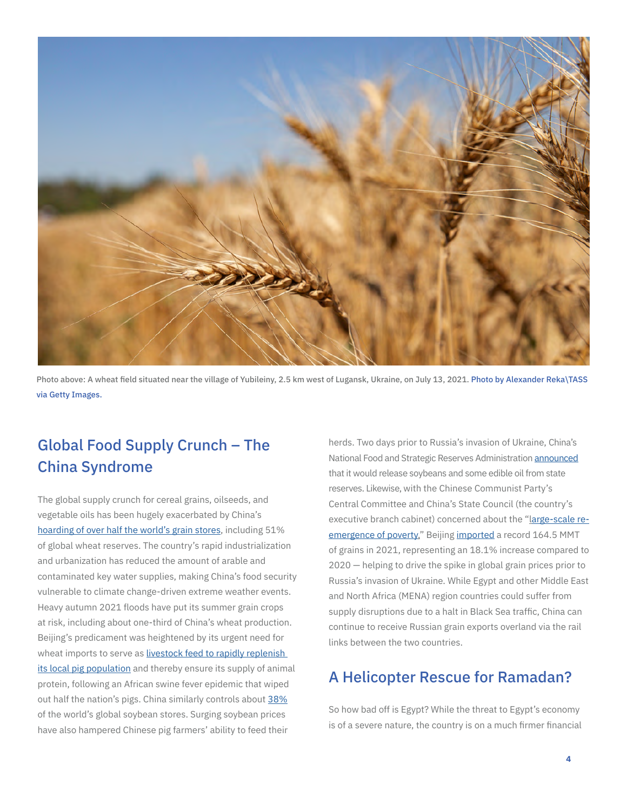

Photo above: A wheat field situated near the village of Yubileiny, 2.5 km west of Lugansk, Ukraine, on July 13, 2021. Photo by Alexander Reka\TASS via Getty Images.

## Global Food Supply Crunch – The China Syndrome

The global supply crunch for cereal grains, oilseeds, and vegetable oils has been hugely exacerbated by China's [hoarding of over half the world's grain stores,](https://asia.nikkei.com/Spotlight/Datawatch/China-hoards-over-half-the-world-s-grain-pushing-up-global-prices) including 51% of global wheat reserves. The country's rapid industrialization and urbanization has reduced the amount of arable and contaminated key water supplies, making China's food security vulnerable to climate change-driven extreme weather events. Heavy autumn 2021 floods have put its summer grain crops at risk, including about one-third of China's wheat production. Beijing's predicament was heightened by its urgent need for wheat imports to serve as livestock feed to rapidly replenish [its local pig population](https://www.mei.edu/publications/fragile-state-food-security-maghreb-implication-2021-cereal-grains-crisis-tunisia) and thereby ensure its supply of animal protein, following an African swine fever epidemic that wiped out half the nation's pigs. China similarly controls about [38%](https://asia.nikkei.com/Spotlight/Datawatch/China-hoards-over-half-the-world-s-grain-pushing-up-global-prices) of the world's global soybean stores. Surging soybean prices have also hampered Chinese pig farmers' ability to feed their

herds. Two days prior to Russia's invasion of Ukraine, China's National Food and Strategic Reserves Administration [announced](https://www.spglobal.com/commodity-insights/en/market-insights/videos/market-movers-europe/022822-ukraine-russia-oil-sanctions-opec-energy-gas-prices-tanker-freight-black-sea-baltic) that it would release soybeans and some edible oil from state reserves. Likewise, with the Chinese Communist Party's Central Committee and China's State Council (the country's executive branch cabinet) concerned about the "[large-scale re](https://www.scmp.com/economy/china-economy/article/3168111/chinas-grain-security-faces-unprecedented-difficulties?module=perpetual_scroll_1&pgtype=article&campaign=3168111)[emergence of poverty,](https://www.scmp.com/economy/china-economy/article/3168111/chinas-grain-security-faces-unprecedented-difficulties?module=perpetual_scroll_1&pgtype=article&campaign=3168111)" Beijing [imported](https://www.scmp.com/economy/china-economy/article/3168111/chinas-grain-security-faces-unprecedented-difficulties?module=perpetual_scroll_1&pgtype=article&campaign=3168111) a record 164.5 MMT of grains in 2021, representing an 18.1% increase compared to 2020 — helping to drive the spike in global grain prices prior to Russia's invasion of Ukraine. While Egypt and other Middle East and North Africa (MENA) region countries could suffer from supply disruptions due to a halt in Black Sea traffic, China can continue to receive Russian grain exports overland via the rail links between the two countries.

### A Helicopter Rescue for Ramadan?

So how bad off is Egypt? While the threat to Egypt's economy is of a severe nature, the country is on a much firmer financial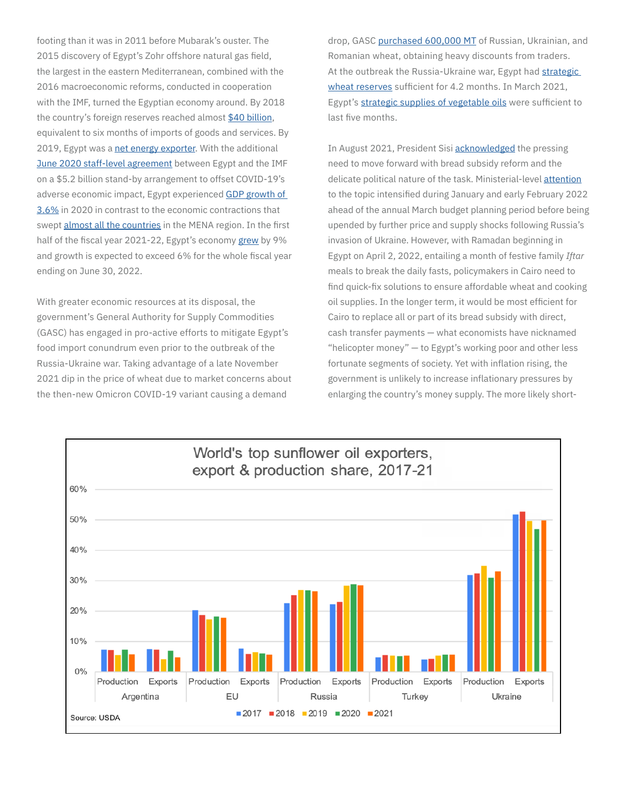footing than it was in 2011 before Mubarak's ouster. The 2015 discovery of Egypt's Zohr offshore natural gas field, the largest in the eastern Mediterranean, combined with the 2016 macroeconomic reforms, conducted in cooperation with the IMF, turned the Egyptian economy around. By 2018 the country's foreign reserves reached almost [\\$40 billion,](https://www.chathamhouse.org/sites/default/files/CHHJ8102-Egypt-and-Gulf-RP-WEB_0.pdf) equivalent to six months of imports of goods and services. By 2019, Egypt was a [net energy exporter.](https://www.ispionline.it/en/pubblicazione/egypts-prospects-energy-export-hub-across-three-continents-27408) With the additional [June 2020 staff-level agreement](https://www.reuters.com/world/middle-east/egypt-economic-growth-83-q2-expected-exceed-6-full-fiscal-year-pm-2022-02-16/) between Egypt and the IMF on a \$5.2 billion stand-by arrangement to offset COVID-19's adverse economic impact, Egypt experienced [GDP growth of](https://data.worldbank.org/indicator/NY.GDP.MKTP.KD.ZG?locations=EG)  [3.6%](https://data.worldbank.org/indicator/NY.GDP.MKTP.KD.ZG?locations=EG) in 2020 in contrast to the economic contractions that swept [almost all the countries](https://data.imf.org/?sk=4cc54c86-f659-4b16-abf5-fab77d52d2e6) in the MENA region. In the first half of the fiscal year 2021-22, Egypt's economy [grew](https://www.reuters.com/world/middle-east/egypt-economic-growth-83-q2-expected-exceed-6-full-fiscal-year-pm-2022-02-16/) by 9% and growth is expected to exceed 6% for the whole fiscal year ending on June 30, 2022.

With greater economic resources at its disposal, the government's General Authority for Supply Commodities (GASC) has engaged in pro-active efforts to mitigate Egypt's food import conundrum even prior to the outbreak of the Russia-Ukraine war. Taking advantage of a late November 2021 dip in the price of wheat due to market concerns about the then-new Omicron COVID-19 variant causing a demand

drop, GASC [purchased 600,000 MT](https://enterprise.press/stories/2021/12/01/egypt-may-have-just-made-its-biggest-ever-wheat-purchase-59520/#:~:text=Egypt buys the wheat dip,fell%2C according to the website.) of Russian, Ukrainian, and Romanian wheat, obtaining heavy discounts from traders. At the outbreak the Russia-Ukraine war, Egypt had [strategic](https://www.zawya.com/mena/en/story/Egypts_strategic_wheat_reserves_at_42_months_says_minister-TR20220215nC6N2UB00WX4/)  [wheat reserves](https://www.zawya.com/mena/en/story/Egypts_strategic_wheat_reserves_at_42_months_says_minister-TR20220215nC6N2UB00WX4/) sufficient for 4.2 months. In March 2021. Egypt's [strategic supplies of vegetable oils](https://www.reuters.com/article/egypt-vegoils-idUSL5N2NH03J) were sufficient to last five months.

In August 2021, President Sisi [acknowledged](https://www.nasdaq.com/articles/egypts-sisi-says-time-to-raise-price-of-subsidised-bread-2021-08-03) the pressing need to move forward with bread subsidy reform and the delicate political nature of the task. Ministerial-level [attention](https://english.aawsat.com/home/article/3457061/egypt-eyes-bread-subsidy-overhaul-global-inflation-bites) to the topic intensified during January and early February 2022 ahead of the annual March budget planning period before being upended by further price and supply shocks following Russia's invasion of Ukraine. However, with Ramadan beginning in Egypt on April 2, 2022, entailing a month of festive family *Iftar* meals to break the daily fasts, policymakers in Cairo need to find quick-fix solutions to ensure affordable wheat and cooking oil supplies. In the longer term, it would be most efficient for Cairo to replace all or part of its bread subsidy with direct, cash transfer payments — what economists have nicknamed "helicopter money" — to Egypt's working poor and other less fortunate segments of society. Yet with inflation rising, the government is unlikely to increase inflationary pressures by enlarging the country's money supply. The more likely short-